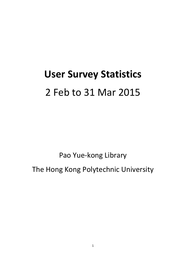# **User Survey Statistics** 2 Feb to 31 Mar 2015

Pao Yue‐kong Library The Hong Kong Polytechnic University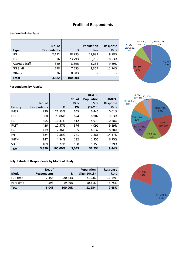# **Profile of Respondents**

#### **Respondents by Type**

|               | No. of             |         | <b>Population</b> | Response |
|---------------|--------------------|---------|-------------------|----------|
| Type          | <b>Respondents</b> | %       | <b>Size</b>       | Rate     |
| UG            | 2,172              | 58.99%  | 21,989            | 9.88%    |
| PG            | 876                | 23.79%  | 10,265            | 8.53%    |
| Aca/Res Staff | 320                | 8.69%   | 3,236             | 9.89%    |
| GG Staff      | 278                | 7.55%   | 2,367             | 11.74%   |
| Others        | 36                 | 0.98%   |                   |          |
| <b>Total</b>  | 3,682              | 100.00% |                   |          |



#### **Respondents by Faculty**

|                |                    |         |                | UG&PG             |                 |
|----------------|--------------------|---------|----------------|-------------------|-----------------|
|                |                    |         | No. of         | <b>Population</b> | UG&PG           |
|                | No. of             |         | <b>UG&amp;</b> | <b>Size</b>       | <b>Response</b> |
| <b>Faculty</b> | <b>Respondents</b> | %       | PG             | (14/15)           | Rate            |
| <b>FHSS</b>    | 730                | 21.53%  | 645            | 6,446             | 10.01%          |
| <b>FENG</b>    | 680                | 20.06%  | 624            | 6,907             | 9.03%           |
| FB             | 555                | 16.37%  | 512            | 4,979             | 10.28%          |
| <b>FAST</b>    | 426                | 12.57%  | 376            | 4,091             | 9.19%           |
| <b>FCE</b>     | 419                | 12.36%  | 385            | 4,637             | 8.30%           |
| FH             | 324                | 9.56%   | 271            | 1,886             | 14.37%          |
| <b>SHTM</b>    | 147                | 4.34%   | 132            | 1,955             | 6.75%           |
| <b>SD</b>      | 109                | 3.22%   | 100            | 1,353             | 7.39%           |
| Total          | 3,390              | 100.00% | 3,045          | 32,254            | 9.44%           |



#### **PolyU Student Respondents by Mode of Study**

|              | No. of             |         | Population   | Response |
|--------------|--------------------|---------|--------------|----------|
| <b>Mode</b>  | <b>Respondents</b> | %       | Size (14/15) | Rate     |
| Full-time    | 2,455              | 80.54%  | 21,936       | 11.19%   |
| Part-time    | 593                | 19.46%  | 10,318       | 5.75%    |
| <b>Total</b> | 3,048              | 100.00% | 32,254       | 9.45%    |

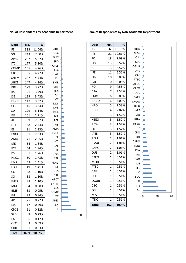#### **No. of Respondents by Academic Department No. of Respondents by Non‐Academic Department**

| Dept        | No.  | ℅      |
|-------------|------|--------|
| FB          | 383  | 11.04% |
| SN          | 243  | 7.00%  |
| <b>APSS</b> | 202  | 5.82%  |
| ITC         | 177  | 5.10%  |
| COMP        | 165  | 4.76%  |
| CBS         | 155  | 4.47%  |
| <b>SHTM</b> | 147  | 4.24%  |
| ABCT        | 147  | 4.24%  |
| BRE         | 129  | 3.72%  |
| <b>RS</b>   | 121  | 3.49%  |
| ISE         | 119  | 3.43%  |
| FENG        | 117  | 3.37%  |
| <b>CEE</b>  | 116  | 3.34%  |
| SD          | 109  | 3.14%  |
| EIE         | 101  | 2.91%  |
| AF          | 89   | 2.57%  |
| HTI         | 88   | 2.54%  |
| EЕ          | 81   | 2.33%  |
| ENGL        | 81   | 2.33%  |
| AMA         | 71   | 2.05%  |
| ME          | 64   | 1.84%  |
| FCE         | 64   | 1.84%  |
| BSE         | 61   | 1.76%  |
| нксс        | 60   | 1.73%  |
| LMS         | 49   | 1.41%  |
| LSGI        | 49   | 1.41%  |
| CC          | 38   | 1.10%  |
| SO          | 38   | 1.10%  |
| FHSS        | 38   | 1.10%  |
| MM          | 34   | 0.98%  |
| BME         | 33   | 0.95%  |
| FH          | 29   | 0.84%  |
| АP          | 25   | 0.72%  |
| ELC         | 17   | 0.49%  |
| <b>CPCE</b> | 11   | 0.32%  |
| <b>SPD</b>  | 8    | 0.23%  |
| FAST        | 6    | 0.17%  |
| GEC         | 3    | 0.09%  |
| сінк        | 1    | 0.03%  |
| Total       | 3469 | 100.%  |

| <b>CIHK</b> |   |
|-------------|---|
| GEC         |   |
| FAST        |   |
| <b>SPD</b>  |   |
| <b>CPCE</b> |   |
| ELC         |   |
| AP          |   |
| FH          |   |
| <b>BME</b>  |   |
| <b>MM</b>   |   |
| FHSS        |   |
| SO          |   |
| CC          |   |
| LSGI        |   |
| LMS         |   |
| <b>HKCC</b> |   |
| <b>BSE</b>  |   |
| FCE         |   |
| ME          |   |
| AMA         |   |
| ENGL        |   |
| EE          |   |
| HTI         |   |
| AF          |   |
| EIE         |   |
| SD          |   |
| <b>CEE</b>  |   |
| <b>FENG</b> |   |
| <b>ISE</b>  |   |
| <b>RS</b>   |   |
| <b>BRE</b>  |   |
| <b>ABCT</b> |   |
| SHTM        |   |
| CBS         |   |
| COMP        |   |
| <b>ITC</b>  |   |
| APSS        |   |
| <b>SN</b>   |   |
| FB          |   |
|             | C |
|             |   |

| <b>Dept</b>  | No.            | %      |
|--------------|----------------|--------|
| AS           | 32             | 16.16% |
| <b>ITS</b>   | 21             | 10.61% |
| FO           | 18             | 9.09%  |
| EDC          | 13             | 6.57%  |
| IC           | 13             | 6.57%  |
| <b>IFE</b>   | 11             | 5.56%  |
| LIB          | 10             | 5.05%  |
| SAO          | 10             | 5.05%  |
| <b>RO</b>    | 9              | 4.55%  |
| <b>CPA</b>   | 7              | 3.54%  |
| <b>FMO</b>   | 6              | 3.03%  |
| AADO         | 6              | 3.03%  |
| <b>HRO</b>   | 5              | 2.53%  |
| CDO          | 4              | 2.02%  |
| P            | 3              | 1.52%  |
| <b>HSEO</b>  | 3              | 1.52%  |
| <b>RITA</b>  | 3              | 1.52%  |
| <b>IAO</b>   | 3              | 1.52%  |
| <b>IAEE</b>  | 3              | 1.52%  |
| <b>RISU</b>  | $\overline{2}$ | 1.01%  |
| CMAO         | $\overline{2}$ | 1.01%  |
| CAPS         | 2              | 1.01%  |
| OUS          | $\overline{2}$ | 1.01%  |
| <b>CPEO</b>  | 1              | 0.51%  |
| <b>MEDC</b>  | 1              | 0.51%  |
| <b>PTEC</b>  | 1              | 0.51%  |
| CAF          | 1              | 0.51%  |
| <b>UHS</b>   | $\mathbf 1$    | 0.51%  |
| OGUR         | 1              | 0.51%  |
| CBC          | 1              | 0.51%  |
| OSL          | 1              | 0.51%  |
| <b>MISS</b>  | 1              | 0.51%  |
| <b>ITDO</b>  | 1              | 0.51%  |
| <b>Total</b> | 162            | 100.%  |

40

0 500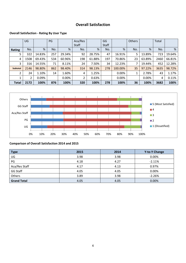# **Overall Satisfaction**

#### **Overall Satisfaction ‐ Rating By User Type**

|                 | UG   |        | PG  |        | Aca/Res |        | GG    |         | Others |        | Total |        |
|-----------------|------|--------|-----|--------|---------|--------|-------|---------|--------|--------|-------|--------|
|                 |      |        |     |        | Staff   |        | Staff |         |        |        |       |        |
| <b>Rating</b>   | No.  | %      | No. | %      | No.     | %      | No.   | %       | No.    | %      | No.   | %      |
| 5               | 322  | 14.83% | 257 | 29.34% | 92      | 28.75% | 47    | 16.91%  | 5      | 13.89% | 723   | 19.64% |
| 4               | 1508 | 69.43% | 534 | 60.96% | 198     | 61.88% | 197   | 70.86%  | 23     | 63.89% | 2460  | 66.81% |
| 3               | 316  | 14.55% | 71  | 8.11%  | 24      | 7.50%  | 34    | 12.23%  | ⇁      | 19.44% | 452   | 12.28% |
| <b>Subtotal</b> | 2146 | 98.80% | 862 | 98.40% | 314     | 98.13% | 278   | 100.00% | 35     | 97.22% | 3635  | 98.72% |
| $\overline{2}$  | 24   | 1.10%  | 14  | 1.60%  | 4       | 1.25%  |       | 0.00%   |        | 2.78%  | 43    | 1.17%  |
|                 |      | 0.09%  |     | 0.00%  | 2       | 0.63%  |       | 0.00%   |        | 0.00%  | 4     | 0.11%  |
| <b>Total</b>    | 2172 | 100%   | 876 | 100%   | 320     | 100%   | 278   | 100%    | 36     | 100%   | 3682  | 100%   |



#### **Comparison of Overall Satisfaction 2014 and 2015**

| <b>Type</b>        | 2015 | 2014 | <b>Y-to-Y Change</b> |
|--------------------|------|------|----------------------|
| UG                 | 3.98 | 3.98 | 0.00%                |
| PG                 | 4.18 | 4.27 | $-2.11%$             |
| Aca/Res Staff      | 4.17 | 4.13 | 0.97%                |
| GG Staff           | 4.05 | 4.05 | 0.00%                |
| <b>Others</b>      | 3.89 | 3.98 | $-2.26%$             |
| <b>Grand Total</b> | 4.05 | 4.05 | 0.00%                |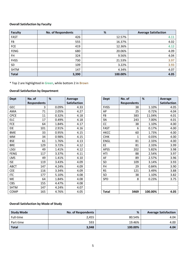#### **Overall Satisfaction by Faculty**

| <b>Faculty</b> | <b>No. of Respondents</b> | %       | <b>Average Satisfaction</b> |
|----------------|---------------------------|---------|-----------------------------|
| <b>FAST</b>    | 426                       | 12.57%  | 4.11                        |
| FB             | 555                       | 16.37%  | 4.02                        |
| <b>FCE</b>     | 419                       | 12.36%  | 4.12                        |
| <b>FENG</b>    | 680                       | 20.06%  | 4.09                        |
| FH             | 324                       | 9.56%   | 4.04                        |
| <b>FHSS</b>    | 730                       | 21.53%  | 3.97                        |
| SD             | 109                       | 3.22%   | 3.93                        |
| <b>SHTM</b>    | 147                       | 4.34%   | 4.07                        |
| <b>Total</b>   | 3,390                     | 100.00% | 4.05                        |

\* Top 2 are highlighted in Green, while bottom 2 in Brown

#### **Overall Satisfaction by Department**

| <b>Dept</b> | No. of             | %     | Average             | <b>Dept</b>  | No. of             |
|-------------|--------------------|-------|---------------------|--------------|--------------------|
|             | <b>Respondents</b> |       | <b>Satisfaction</b> |              | <b>Respondents</b> |
| <b>GEC</b>  | 3                  | 0.09% | 4.33                | <b>FHSS</b>  | 38                 |
| AMA         | 71                 | 2.05% | 4.27                | AP           | 25                 |
| <b>CPCE</b> | 11                 | 0.32% | 4.18                | FB           | 383                |
| <b>ELC</b>  | 17                 | 0.49% | 4.18                | SN           | 243                |
| <b>FCE</b>  | 64                 | 1.84% | 4.17                | CC           | 38                 |
| <b>EIE</b>  | 101                | 2.91% | 4.16                | <b>FAST</b>  | $\boldsymbol{6}$   |
| <b>BME</b>  | 33                 | 0.95% | 4.15                | <b>HKCC</b>  | 60                 |
| MM          | 34                 | 0.98% | 4.15                | <b>CIHK</b>  | $\mathbf{1}$       |
| <b>BSE</b>  | 61                 | 1.76% | 4.13                | <b>ENGL</b>  | 81                 |
| <b>BRE</b>  | 129                | 3.72% | 4.12                | EE           | 81                 |
| <b>LSGI</b> | 49                 | 1.41% | 4.12                | <b>APSS</b>  | 202                |
| <b>FENG</b> | 117                | 3.37% | 4.11                | HTI          | 88                 |
| LMS         | 49                 | 1.41% | 4.10                | AF           | 89                 |
| <b>ISE</b>  | 119                | 3.43% | 4.09                | SD           | 109                |
| <b>ABCT</b> | 147                | 4.24% | 4.09                | FH           | 29                 |
| <b>CEE</b>  | 116                | 3.34% | 4.09                | <b>RS</b>    | 121                |
| <b>ITC</b>  | 177                | 5.10% | 4.08                | SO           | 38                 |
| ME          | 64                 | 1.84% | 4.08                | SPD          | 8                  |
| <b>CBS</b>  | 155                | 4.47% | 4.08                |              |                    |
| <b>SHTM</b> | 147                | 4.24% | 4.07                |              |                    |
| COMP        | 165                | 4.76% | 4.05                | <b>Total</b> | 3469               |

| <b>Dept</b>      | No. of             | %     | Average             | <b>Dept</b>  | No. of             | %       | <b>Average</b>      |
|------------------|--------------------|-------|---------------------|--------------|--------------------|---------|---------------------|
|                  | <b>Respondents</b> |       | <b>Satisfaction</b> |              | <b>Respondents</b> |         | <b>Satisfaction</b> |
| <b>GEC</b>       | 3                  | 0.09% | 4.33                | <b>FHSS</b>  | 38                 | 1.10%   | 4.05                |
| AMA              | 71                 | 2.05% | 4.27                | AP           | 25                 | 0.72%   | 4.04                |
| <b>CPCE</b>      | 11                 | 0.32% | 4.18                | FB           | 383                | 11.04%  | 4.01                |
| $\overline{EIC}$ | 17                 | 0.49% | 4.18                | SN           | 243                | 7.00%   | 4.01                |
| FCE              | 64                 | 1.84% | 4.17                | cc           | 38                 | 1.10%   | 4.00                |
| EIE              | 101                | 2.91% | 4.16                | <b>FAST</b>  | 6                  | 0.17%   | 4.00                |
| <b>BME</b>       | 33                 | 0.95% | 4.15                | <b>HKCC</b>  | 60                 | 1.73%   | 4.00                |
| MM               | 34                 | 0.98% | 4.15                | <b>CIHK</b>  | 1                  | 0.03%   | 4.00                |
| <b>BSE</b>       | 61                 | 1.76% | 4.13                | <b>ENGL</b>  | 81                 | 2.33%   | 4.00                |
| <b>BRE</b>       | 129                | 3.72% | 4.12                | EE.          | 81                 | 2.33%   | 3.99                |
| LSGI             | 49                 | 1.41% | 4.12                | <b>APSS</b>  | 202                | 5.82%   | 3.98                |
| <b>FENG</b>      | 117                | 3.37% | 4.11                | HTI          | 88                 | 2.54%   | 3.97                |
| LMS              | 49                 | 1.41% | 4.10                | AF           | 89                 | 2.57%   | 3.96                |
| <b>ISE</b>       | 119                | 3.43% | 4.09                | <b>SD</b>    | 109                | 3.14%   | 3.93                |
| ABCT             | 147                | 4.24% | 4.09                | <b>FH</b>    | 29                 | 0.84%   | 3.90                |
| <b>CEE</b>       | 116                | 3.34% | 4.09                | <b>RS</b>    | 121                | 3.49%   | 3.88                |
| <b>ITC</b>       | 177                | 5.10% | 4.08                | SO.          | 38                 | 1.10%   | 3.82                |
| ME               | 64                 | 1.84% | 4.08                | SPD          | 8                  | 0.23%   | 3.75                |
| CBS              | 155                | 4.47% | 4.08                |              |                    |         |                     |
| <b>SHTM</b>      | 147                | 4.24% | 4.07                |              |                    |         |                     |
| COMP             | 165                | 4.76% | 4.05                | <b>Total</b> | 3469               | 100.00% | 4.05                |

#### **Overall Satisfaction by Mode of Study**

| <b>Study Mode</b> | <b>No. of Respondents</b> | %       | <b>Average Satisfaction</b> |
|-------------------|---------------------------|---------|-----------------------------|
| Full-time         | 2,455                     | 80.54%  | 4.04                        |
| Part-time         | 593                       | 19.46%  | 4.00                        |
| <b>Total</b>      | 3,048                     | 100.00% | 4.04                        |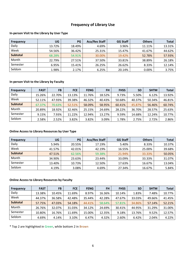# **Frequency of Library Use**

#### **In‐person Visit to the Library by User Type**

| <b>Frequency</b> | UG     | <b>PG</b> | <b>Aca/Res Staff</b> | <b>GG Staff</b> | <b>Others</b> | <b>Total</b> |
|------------------|--------|-----------|----------------------|-----------------|---------------|--------------|
| Daily            | 13.72% | 18.49%    | 4.69%                | 3.96%           | 11.11%        | 13.31%       |
| Week             | 54.56% | 36.42%    | 25.31%               | 15.47%          | 41.67%        | 44.62%       |
| <b>Subtotal</b>  | 68.28% | 54.91%    | 30.00%               | 19.42%          | 52.78%        | 57.93%       |
| Month            | 22.79% | 27.51%    | 37.50%               | 33.81%          | 38.89%        | 26.18%       |
| Semester         | 6.95%  | 15.41%    | 26.25%               | 26.62%          | 8.33%         | 12.14%       |
| Seldom           | 1.98%  | 2.17%     | 6.25%                | 20.14%          | 0.00%         | 3.75%        |

#### **In‐person Visit to the Library by Faculty**

| <b>Frequency</b> | <b>FAST</b> | <b>FB</b> | <b>FCE</b> | <b>FENG</b> | <b>FH</b> | <b>FHSS</b> | <b>SD</b> | <b>SHTM</b> | <b>Total</b> |
|------------------|-------------|-----------|------------|-------------|-----------|-------------|-----------|-------------|--------------|
| Daily            | 15.26%      | 22.70%    | 13.13%     | 11.76%      | 18.52%    | 9.73%       | 5.50%     | 6.12%       | 13.92%       |
| Week             | 52.11%      | 47.93%    | 39.38%     | 46.32%      | 40.43%    | 50.68%      | 40.37%    | 50.34%      | 46.81%       |
| <b>Subtotal</b>  | 67.37%      | 70.63%    | 52.51%     | 58.09%      | 58.95%    | 60.41%      | 45.87%    | 56.46%      | 60.74%       |
| Month            | 20.89%      | 18.92%    | 32.46%     | 25.15%      | 24.69%    | 28.22%      | 36.70%    | 28.57%      | 25.63%       |
| Semester         | 9.15%       | 7.93%     | 11.22%     | 12.94%      | 13.27%    | 9.59%       | 14.68%    | 12.24%      | 10.77%       |
| Seldom           | 2.58%       | 2.52%     | 3.82%      | 3.82%       | 3.09%     | 1.78%       | 2.75%     | 2.72%       | 2.86%        |

#### **Online Access to Library Resources by User Type**

| <b>Frequency</b> | UG     | <b>PG</b> | <b>Aca/Res Staff</b> | <b>GG Staff</b> | <b>Others</b> | <b>Total</b> |
|------------------|--------|-----------|----------------------|-----------------|---------------|--------------|
| Daily            | 5.94%  | 20.55%    | 17.19%               | 5.40%           | 8.33%         | 10.37%       |
| Week             | 41.57% | 42.01%    | 42.19%               | 16.55%          | 25.00%        | 39.68%       |
| <b>Subtotal</b>  | 47.51% | 62.56%    | 59.38%               | 21.94%          | 33.33%        | 50.05%       |
| Month            | 34.90% | 23.63%    | 23.44%               | 33.09%          | 33.33%        | 31.07%       |
| Semester         | 13.40% | 10.73%    | 12.50%               | 17.63%          | 16.67%        | 13.04%       |
| Seldom           | 4.19%  | 3.08%     | 4.69%                | 27.34%          | 16.67%        | 5.84%        |

#### **Online Access to Library Resources by Faculty**

| <b>Frequency</b> | <b>FAST</b> | <b>FB</b> | <b>FCE</b> | <b>FENG</b> | <b>FH</b> | <b>FHSS</b> | <b>SD</b> | <b>SHTM</b> | <b>Total</b> |
|------------------|-------------|-----------|------------|-------------|-----------|-------------|-----------|-------------|--------------|
| Daily            | 13.38%      | 10.45%    | 11.69%     | 8.97%       | 16.36%    | 10.14%      | 1.83%     | 7.48%       | 10.77%       |
| Week             | 44.37%      | 36.58%    | 42.48%     | 35.44%      | 42.28%    | 47.67%      | 33.03%    | 49.66%      | 41.45%       |
| <b>Subtotal</b>  | 57.75%      | 47.03%    | 54.18%     | 44.41%      | 58.64%    | 57.81%      | 34.86%    | 57.14%      | 52.21%       |
| Month            | 26.76%      | 32.07%    | 31.03%     | 34.12%      | 24.69%    | 30.41%      | 44.95%    | 31.29%      | 31.00%       |
| Semester         | 10.80%      | 16.76%    | 11.69%     | 15.00%      | 12.35%    | 9.18%       | 13.76%    | 9.52%       | 12.57%       |
| Seldom           | 4.69%       | 4.14%     | 3.10%      | 6.47%       | 4.32%     | 2.60%       | 6.42%     | 2.04%       | 4.22%        |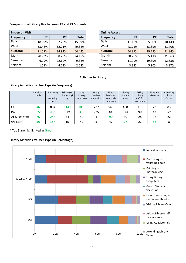#### **Comparison of Library Use between FT and PT Students**

| <b>In-person Visit</b> |           |           |              |                  | <b>Online Access</b> |           |           |        |
|------------------------|-----------|-----------|--------------|------------------|----------------------|-----------|-----------|--------|
| <b>Frequency</b>       | <b>FT</b> | <b>PT</b> | <b>Total</b> | <b>Frequency</b> |                      | <b>FT</b> | <b>PT</b> | Total  |
| Daily                  | 18.09%    | 2.70%     | 15.09%       | Daily            |                      | 11.16%    | 5.90%     | 10.14% |
| Week                   | 53.48%    | 32.21%    | 49.34%       | Week             |                      | 43.71%    | 33.39%    | 41.70% |
| <b>Subtotal</b>        | 71.57%    | 34.91%    | 64.44%       | <b>Subtotal</b>  |                      | 54.87%    | 39.29%    | 51.84% |
| Month                  | 20.73%    | 38.28%    | 24.15%       | Month            |                      | 30.75%    | 35.41%    | 31.66% |
| Semester               | 6.19%     | 22.60%    | 9.38%        | Semester         |                      | 11.00%    | 19.39%    | 12.63% |
| Seldom                 | 1.51%     | 4.22%     | 2.03%        | Seldom           |                      | 3.38%     | 5.90%     | 3.87%  |

| In-person Visit  |           |           |        | <b>Online Access</b> |        |           |              |
|------------------|-----------|-----------|--------|----------------------|--------|-----------|--------------|
| <b>Frequency</b> | <b>FT</b> | <b>PT</b> | Total  | <b>Frequency</b>     | FT     | <b>PT</b> | <b>Total</b> |
| Daily            | 18.09%    | 2.70%     | 15.09% | Daily                | 11.16% | 5.90%     | 10.14%       |
| Week             | 53.48%    | 32.21%    | 49.34% | Week                 | 43.71% | 33.39%    | 41.70%       |
| Subtotal         | 71.57%    | 34.91%    | 64.44% | <b>Subtotal</b>      | 54.87% | 39.29%    | 51.84%       |
| Month            | 20.73%    | 38.28%    | 24.15% | Month                | 30.75% | 35.41%    | 31.66%       |
| Semester         | 6.19%     | 22.60%    | 9.38%  | Semester             | 11.00% | 19.39%    | 12.63%       |
| Seldom           | 1.51%     | 4.22%     | 2.03%  | Seldom               | 3.38%  | 5.90%     | 3.87%        |

#### **Activities in Library**

#### **Library Activities by User Type (in Frequency)**

|                 | Individual<br>study | Borrowing<br><b>or</b><br>returning<br>books | Printing or<br>Photocopyi<br>ng | <b>Using</b><br>Library<br>computers | Group<br>Study or<br>discussion | <b>Using</b><br>databases,<br>e-journals<br>or ebooks | Visiting<br>Library<br>Cafe | Asking<br>Library<br>staff for<br>assistance | <b>Using AV</b><br><b>Materials</b> | Attending<br>Library<br><b>Classes</b> |
|-----------------|---------------------|----------------------------------------------|---------------------------------|--------------------------------------|---------------------------------|-------------------------------------------------------|-----------------------------|----------------------------------------------|-------------------------------------|----------------------------------------|
| UG              | 1463                | 864                                          | 1149                            | 1018                                 | 777                             | 540                                                   | 468                         | 113                                          | 73                                  | 83                                     |
| PG              | 572                 | 452                                          | 319                             | 339                                  | 225                             | 303                                                   | 174                         | 90                                           | 43                                  | 59                                     |
| Aca/Res Staff   | 76                  | 248                                          | 34                              | 40                                   | 4                               | 90                                                    | 60                          | 28                                           | 38                                  | 22                                     |
| <b>GG Staff</b> | 56                  | 187                                          | 15                              | 42                                   |                                 | 47                                                    | 77                          | 22                                           | 56                                  | 8                                      |

\* Top 3 are highlighted in Green

#### **Library Activities by User Type (in Percentage)**

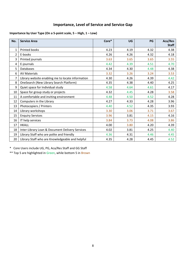# **Importance, Level of Service and Service Gap**

#### **Importance by User Type (On a 5‐point scale, 5 – High, 1 – Low)**

| No. | <b>Service Area</b>                               | Core* | UG   | PG   | Aca/Res<br><b>Staff</b> |
|-----|---------------------------------------------------|-------|------|------|-------------------------|
| 1   | Printed books                                     | 4.23  | 4.19 | 4.32 | 4.38                    |
| 2   | E-books                                           | 4.26  | 4.26 | 4.32 | 4.18                    |
| 3   | Printed journals                                  | 3.63  | 3.65 | 3.65 | 3.55                    |
| 4   | E-journals                                        | 4.42  | 4.39 | 4.51 | 4.70                    |
| 5   | Databases                                         | 4.34  | 4.30 | 4.48 | 4.38                    |
| 6   | <b>AV Materials</b>                               | 3.32  | 3.26 | 3.24 | 3.53                    |
| 7   | Library website enabling me to locate information | 4.30  | 4.26 | 4.39 | 4.42                    |
| 8   | OneSearch (New Library Search Platform)           | 4.35  | 4.38 | 4.40 | 4.25                    |
| 9   | Quiet space for Individual study                  | 4.58  | 4.64 | 4.61 | 4.17                    |
| 10  | Space for group study or projects                 | 4.32  | 4.45 | 4.28 | 3.58                    |
| 11  | A comfortable and inviting environment            | 4.48  | 4.50 | 4.52 | 4.28                    |
| 12  | Computers in the Library                          | 4.27  | 4.33 | 4.28 | 3.96                    |
| 13  | Photocopiers / Printers                           | 4.40  | 4.52 | 4.35 | 3.93                    |
| 14  | Library workshops                                 | 3.30  | 3.06 | 3.71 | 3.67                    |
| 15  | <b>Enquiry Services</b>                           | 3.96  | 3.81 | 4.15 | 4.16                    |
| 16  | IT help services                                  | 3.84  | 3.73 | 4.08 | 3.86                    |
| 17  | <b>HKALL</b>                                      | 4.00  | 3.80 | 4.20 | 4.39                    |
| 18  | Inter-Library Loan & Document Delivery Services   | 4.02  | 3.81 | 4.25 | 4.40                    |
| 19  | Library Staff who are polite and friendly         | 4.36  | 4.31 | 4.46 | 4.45                    |
| 20  | Library Staff who are Knowledgeable and helpful   | 4.35  | 4.28 | 4.45 | 4.52                    |

\* Core Users include UG, PG, Aca/Res Staff and GG Staff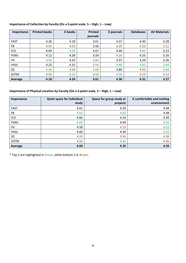#### **Importance of Collection by Faculty (On a 5‐point scale, 5 – High, 1 – Low)**

| Importance  | <b>Printed books</b> | E-books | <b>Printed</b> | E-journals | <b>Databases</b> | <b>AV Materials</b> |
|-------------|----------------------|---------|----------------|------------|------------------|---------------------|
|             |                      |         | journals       |            |                  |                     |
| <b>FAST</b> | 4.26                 | 4.18    | 3.61           | 4.27       | 4.30             | 3.28                |
| FB.         | 4.05                 | 4.03    | 3.56           | 4.20       | 4.23             | 3.12                |
| <b>FCE</b>  | 4.09                 | 4.35    | 3.67           | 4.40       | 4.40             | 3.23                |
| <b>FENG</b> | 4.12                 | 4.28    | 3.59           | 4.20       | 4.25             | 3.20                |
| <b>FH</b>   | 4.50                 | 4.25    | 3.84           | 4.37       | 4.29             | 3.26                |
| <b>FHSS</b> | 4.22                 | 4.31    | 3.54           | 4.68       | 4.42             | 3.44                |
| SD          | 4.36                 | 4.09    | 3.68           | 3.80       | 4.03             | 3.68                |
| <b>SHTM</b> | 4.00                 | 4.33    | 3.54           | 4.56       | 4.23             | 3.12                |
| Average     | 4.18                 | 4.24    | 3.61           | 4.36       | 4.31             | 3.27                |

#### **Importance of Physical Location by Faculty (On a 5‐point scale, 5 – High, 1 – Low)**

| Importance  | Quiet space for Individual<br>study | Space for group study or<br>projects | A comfortable and inviting<br>environment |
|-------------|-------------------------------------|--------------------------------------|-------------------------------------------|
|             |                                     |                                      |                                           |
| FAST        | 4.61                                | 4.29                                 | 4.48                                      |
| FB.         | 4.62                                | 4.42                                 | 4.48                                      |
| <b>FCE</b>  | 4.60                                | 4.33                                 | 4.49                                      |
| <b>FENG</b> | 4.63                                | 4.40                                 | 4.52                                      |
| FH          | 4.58                                | 4.19                                 | 4.53                                      |
| <b>FHSS</b> | 4.60                                | 4.40                                 | 4.52                                      |
| SD          | 4.35                                | 3.96                                 | 4.38                                      |
| <b>SHTM</b> | 4.56                                | 4.45                                 | 4.46                                      |
| Average     | 4.60                                | 4.35                                 | 4.50                                      |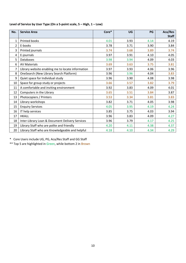|  | Level of Service by User Type (On a 5-point scale, 5 - High, 1 - Low) |  |
|--|-----------------------------------------------------------------------|--|
|--|-----------------------------------------------------------------------|--|

| No.          | <b>Service Area</b>                               | Core* | UG   | PG   | Aca/Res      |
|--------------|---------------------------------------------------|-------|------|------|--------------|
|              |                                                   |       |      |      | <b>Staff</b> |
| $\mathbf{1}$ | Printed books                                     | 4.01  | 3.93 | 4.14 | 4.19         |
| 2            | E-books                                           | 3.78  | 3.71 | 3.90 | 3.84         |
| 3            | Printed journals                                  | 3.74  | 3.68 | 3.89 | 3.74         |
| 4            | E-journals                                        | 3.97  | 3.91 | 4.10 | 4.05         |
| 5            | Databases                                         | 3.98  | 3.94 | 4.09 | 4.03         |
| 6            | <b>AV Materials</b>                               | 3.69  | 3.63 | 3.75 | 3.81         |
| 7            | Library website enabling me to locate information | 3.97  | 3.93 | 4.06 | 3.96         |
| 8            | OneSearch (New Library Search Platform)           | 3.96  | 3.96 | 4.04 | 3.83         |
| 9            | Quiet space for Individual study                  | 3.96  | 3.90 | 4.08 | 3.98         |
| 10           | Space for group study or projects                 | 3.66  | 3.57 | 3.82 | 3.79         |
| 11           | A comfortable and inviting environment            | 3.92  | 3.83 | 4.09 | 4.01         |
| 12           | Computers in the Library                          | 3.65  | 3.51 | 3.84 | 3.87         |
| 13           | Photocopiers / Printers                           | 3.53  | 3.34 | 3.81 | 3.83         |
| 14           | Library workshops                                 | 3.82  | 3.71 | 4.05 | 3.98         |
| 15           | <b>Enquiry Services</b>                           | 4.05  | 3.95 | 4.19 | 4.24         |
| 16           | IT help services                                  | 3.85  | 3.75 | 4.03 | 3.94         |
| 17           | <b>HKALL</b>                                      | 3.96  | 3.83 | 4.09 | 4.27         |
| 18           | Inter-Library Loan & Document Delivery Services   | 3.96  | 3.79 | 4.17 | 4.25         |
| 19           | Library Staff who are polite and friendly         | 4.20  | 4.11 | 4.38 | 4.37         |
| 20           | Library Staff who are Knowledgeable and helpful   | 4.18  | 4.10 | 4.34 | 4.29         |

\* Core Users include UG, PG, Aca/Res Staff and GG Staff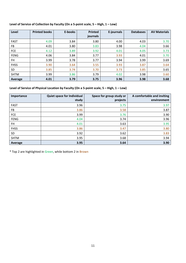#### **Level of Service of Collection by Faculty (On a 5‐point scale, 5 – High, 1 – Low)**

| Level       | <b>Printed books</b> | E-books | <b>Printed</b> | E-journals | <b>Databases</b> | <b>AV Materials</b> |
|-------------|----------------------|---------|----------------|------------|------------------|---------------------|
|             |                      |         | journals       |            |                  |                     |
| <b>FAST</b> | 4.09                 | 3.84    | 3.80           | 4.00       | 4.03             | 3.70                |
| FB.         | 4.01                 | 3.80    | 3.83           | 3.98       | 4.04             | 3.66                |
| <b>FCE</b>  | 4.12                 | 3.89    | 3.92           | 4.01       | 4.05             | 3.73                |
| <b>FENG</b> | 4.06                 | 3.84    | 3.77           | 3.93       | 4.01             | 3.70                |
| FH.         | 3.99                 | 3.78    | 3.77           | 3.94       | 3.99             | 3.69                |
| <b>FHSS</b> | 3.90                 | 3.64    | 3.55           | 3.93       | 3.87             | 3.64                |
| SD          | 3.85                 | 3.74    | 3.70           | 3.73       | 3.85             | 3.65                |
| <b>SHTM</b> | 3.99                 | 3.86    | 3.79           | 4.02       | 3.98             | 3.60                |
| Average     | 4.01                 | 3.79    | 3.75           | 3.96       | 3.98             | 3.68                |

#### Level of Service of Physical Location by Faculty (On a 5-point scale, 5 - High, 1 - Low)

| Importance  | Quiet space for Individual<br>study | Space for group study or<br>projects | A comfortable and inviting<br>environment |
|-------------|-------------------------------------|--------------------------------------|-------------------------------------------|
| <b>FAST</b> | 3.96                                | 3.75                                 | 3.97                                      |
| FB          | 3.86                                | 3.58                                 | 3.87                                      |
| <b>FCE</b>  | 3.99                                | 3.76                                 | 3.90                                      |
| <b>FENG</b> | 4.04                                | 3.74                                 | 3.96                                      |
| FH          | 4.01                                | 3.63                                 | 3.95                                      |
| <b>FHSS</b> | 3.86                                | 3.47                                 | 3.80                                      |
| SD          | 3.92                                | 3.62                                 | 3.83                                      |
| <b>SHTM</b> | 3.95                                | 3.68                                 | 3.94                                      |
| Average     | 3.95                                | 3.64                                 | 3.90                                      |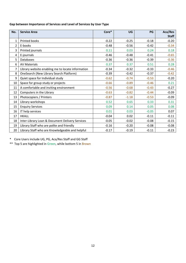#### **Gap between Importance of Services and Level of Services by User Type**

| No. | <b>Service Area</b>                               | Core*   | UG      | PG      | Aca/Res      |
|-----|---------------------------------------------------|---------|---------|---------|--------------|
|     |                                                   |         |         |         | <b>Staff</b> |
| 1   | Printed books                                     | $-0.22$ | $-0.25$ | $-0.18$ | $-0.20$      |
| 2   | E-books                                           | $-0.48$ | $-0.56$ | $-0.42$ | $-0.34$      |
| 3   | Printed journals                                  | 0.11    | 0.03    | 0.24    | 0.18         |
| 4   | E-journals                                        | $-0.46$ | $-0.48$ | $-0.41$ | $-0.65$      |
| 5   | <b>Databases</b>                                  | $-0.36$ | $-0.36$ | $-0.39$ | $-0.36$      |
| 6   | <b>AV Materials</b>                               | 0.37    | 0.37    | 0.51    | 0.28         |
| 7   | Library website enabling me to locate information | $-0.34$ | $-0.32$ | $-0.33$ | $-0.46$      |
| 8   | OneSearch (New Library Search Platform)           | $-0.39$ | $-0.42$ | $-0.37$ | $-0.42$      |
| 9   | Quiet space for Individual study                  | $-0.62$ | $-0.74$ | $-0.53$ | $-0.20$      |
| 10  | Space for group study or projects                 | $-0.66$ | $-0.89$ | $-0.46$ | 0.21         |
| 11  | A comfortable and inviting environment            | $-0.56$ | $-0.68$ | $-0.43$ | $-0.27$      |
| 12  | Computers in the Library                          | $-0.63$ | $-0.82$ | $-0.44$ | $-0.09$      |
| 13  | Photocopiers / Printers                           | $-0.87$ | $-1.18$ | $-0.53$ | $-0.09$      |
| 14  | Library workshops                                 | 0.52    | 0.65    | 0.33    | 0.31         |
| 15  | <b>Enquiry Services</b>                           | 0.09    | 0.14    | 0.05    | 0.08         |
| 16  | IT help services                                  | 0.01    | 0.03    | $-0.05$ | 0.07         |
| 17  | <b>HKALL</b>                                      | $-0.04$ | 0.02    | $-0.11$ | $-0.11$      |
| 18  | Inter-Library Loan & Document Delivery Services   | $-0.05$ | $-0.02$ | $-0.08$ | $-0.15$      |
| 19  | Library Staff who are polite and friendly         | $-0.16$ | $-0.20$ | $-0.08$ | $-0.08$      |
| 20  | Library Staff who are Knowledgeable and helpful   | $-0.17$ | $-0.19$ | $-0.11$ | $-0.23$      |

\* Core Users include UG, PG, Aca/Res Staff and GG Staff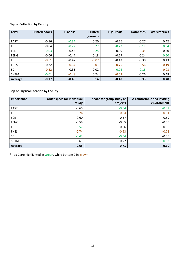### **Gap of Collection by Faculty**

| Level       | <b>Printed books</b> | E-books | <b>Printed</b> | E-journals | <b>Databases</b> | <b>AV Materials</b> |
|-------------|----------------------|---------|----------------|------------|------------------|---------------------|
|             |                      |         | journals       |            |                  |                     |
| <b>FAST</b> | $-0.16$              | $-0.34$ | 0.20           | $-0.26$    | $-0.27$          | 0.42                |
| FB.         | $-0.04$              | $-0.22$ | 0.27           | $-0.22$    | $-0.19$          | 0.54                |
| <b>FCE</b>  | 0.03                 | $-0.45$ | 0.25           | $-0.39$    | $-0.35$          | 0.50                |
| <b>FENG</b> | $-0.06$              | $-0.44$ | 0.18           | $-0.27$    | $-0.24$          | 0.50                |
| <b>FH</b>   | $-0.51$              | $-0.47$ | $-0.07$        | $-0.43$    | $-0.30$          | 0.43                |
| <b>FHSS</b> | $-0.32$              | $-0.67$ | 0.01           | $-0.75$    | $-0.56$          | 0.19                |
| <b>SD</b>   | $-0.52$              | $-0.35$ | 0.02           | $-0.08$    | $-0.18$          | $-0.03$             |
| <b>SHTM</b> | $-0.01$              | $-0.48$ | 0.24           | $-0.53$    | $-0.26$          | 0.48                |
| Average     | $-0.17$              | $-0.45$ | 0.14           | $-0.40$    | $-0.33$          | 0.40                |

#### **Gap of Physical Location by Faculty**

| Importance  | <b>Quiet space for Individual</b><br>study | Space for group study or<br>projects | A comfortable and inviting<br>environment |
|-------------|--------------------------------------------|--------------------------------------|-------------------------------------------|
| <b>FAST</b> | $-0.65$                                    | $-0.54$                              | $-0.52$                                   |
| FB          | $-0.76$                                    | $-0.84$                              | $-0.61$                                   |
| FCE         | $-0.60$                                    | $-0.57$                              | $-0.59$                                   |
| <b>FENG</b> | $-0.59$                                    | $-0.65$                              | $-0.55$                                   |
| FH          | $-0.57$                                    | $-0.56$                              | $-0.58$                                   |
| <b>FHSS</b> | $-0.74$                                    | $-0.93$                              | $-0.72$                                   |
| SD.         | $-0.42$                                    | $-0.34$                              | $-0.55$                                   |
| <b>SHTM</b> | $-0.61$                                    | $-0.77$                              | $-0.52$                                   |
| Average     | $-0.65$                                    | $-0.71$                              | $-0.60$                                   |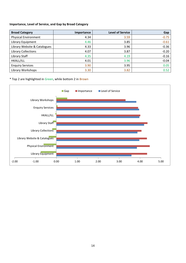#### **Importance, Level of Service, and Gap by Broad Category**

| <b>Broad Category</b>        | <b>Importance</b> | <b>Level of Service</b> | Gap     |
|------------------------------|-------------------|-------------------------|---------|
| <b>Physical Environment</b>  | 4.34              | 3.59                    | $-0.75$ |
| Library Equipment            | 4.46              | 3.85                    | $-0.61$ |
| Library Website & Catalogues | 4.33              | 3.96                    | $-0.36$ |
| <b>Library Collections</b>   | 4.07              | 3.87                    | $-0.20$ |
| Library Staff                | 4.35              | 4.19                    | $-0.16$ |
| HKALL/ILL                    | 4.01              | 3.96                    | $-0.04$ |
| <b>Enquiry Services</b>      | 3.90              | 3.95                    | 0.05    |
| Library Workshops            | 3.30              | 3.82                    | 0.52    |

\* Top 2 are highlighted in Green, while bottom 2 in Brown

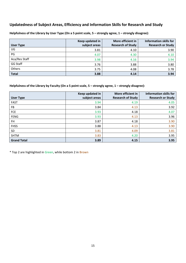## **Updatedness of Subject Areas, Efficiency and Information Skills for Research and Study**

| <b>User Type</b> | Keep updated in<br>subject areas | More efficient in<br><b>Research of Study</b> | <b>Information skills for</b><br><b>Research or Study</b> |
|------------------|----------------------------------|-----------------------------------------------|-----------------------------------------------------------|
| UG               | 3.81                             | 4.10                                          | 3.90                                                      |
| PG               | 4.07                             | 4.30                                          | 4.10                                                      |
| Aca/Res Staff    | 3.98                             | 4.16                                          | 3.94                                                      |
| GG Staff         | 3.76                             | 3.88                                          | 3.80                                                      |
| Others           | 3.75                             | 4.08                                          | 3.78                                                      |
| <b>Total</b>     | 3.88                             | 4.14                                          | 3.94                                                      |

Helpfulness of the Library by User Type (On a 5 point scale, 5 - strongly agree, 1 - strongly disagree):

Helpfulness of the Library by Faculty (On a 5 point scale,  $5$  – strongly agree,  $1$  – strongly disagree):

|                    | Keep updated in | More efficient in        | <b>Information skills for</b> |
|--------------------|-----------------|--------------------------|-------------------------------|
| <b>User Type</b>   | subject areas   | <b>Research of Study</b> | <b>Research or Study</b>      |
| <b>FAST</b>        | 3.94            | 4.19                     | 4.05                          |
| FB.                | 3.84            | 4.13                     | 3.92                          |
| <b>FCE</b>         | 3.93            | 4.18                     | 4.07                          |
| <b>FENG</b>        | 3.93            | 4.13                     | 3.96                          |
| <b>FH</b>          | 3.87            | 4.18                     | 3.90                          |
| <b>FHSS</b>        | 3.88            | 4.13                     | 3.90                          |
| <b>SD</b>          | 3.81            | 4.09                     | 3.81                          |
| <b>SHTM</b>        | 3.83            | 4.20                     | 3.95                          |
| <b>Grand Total</b> | 3.89            | 4.15                     | 3.95                          |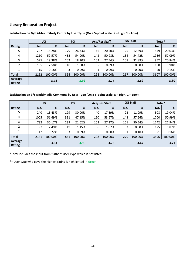# **Library Renovation Project**

|                   | UG   |         |     | PG      | <b>Aca/Res Staff</b> |         | <b>GG Staff</b> |         | Total* |         |
|-------------------|------|---------|-----|---------|----------------------|---------|-----------------|---------|--------|---------|
| Rating            | No.  | %       | No. | %       | No.                  | %       | No.             | %       | No.    | %       |
| 5                 | 297  | 18.28%  | 179 | 26.73%  | 46                   | 20.50%  | 25              | 12.69%  | 549    | 20.03%  |
| 4                 | 1210 | 59.57%  | 452 | 54.00%  | 143                  | 50.98%  | 134             | 54.42%  | 1956   | 57.09%  |
| 3                 | 525  | 19.38%  | 202 | 18.10%  | 103                  | 27.54%  | 108             | 32.89%  | 952    | 20.84%  |
| 2                 | 105  | 2.58%   | 18  | 1.08%   | 5                    | 0.89%   |                 | 0.00%   | 130    | 1.90%   |
|                   | 15   | 0.18%   | 3   | 0.09%   |                      | 0.09%   |                 | 0.00%   | 20     | 0.15%   |
| Total             | 2152 | 100.00% | 854 | 100.00% | 298                  | 100.00% | 267             | 100.00% | 3607   | 100.00% |
| Average<br>Rating |      | 3.78    |     | 3.92    |                      | 3.77    |                 | 3.69    |        | 3.80    |

#### Satisfaction on G/F 24-hour Study Centre by User Type (On a 5-point scale, 5 - High, 1 - Low)

Satisfaction on 3/F Multimedia Commons by User Type (On a 5-point scale, 5 - High, 1 - Low)

|                   | UG   |         |     | <b>PG</b> |     | <b>GG Staff</b><br><b>Aca/Res Staff</b> |     | Total*  |      |         |
|-------------------|------|---------|-----|-----------|-----|-----------------------------------------|-----|---------|------|---------|
| Rating            | No.  | %       | No. | %         | No. | %                                       | No. | %       | No.  | %       |
| 5                 | 240  | 15.43%  | 199 | 30.00%    | 40  | 17.89%                                  | 22  | 11.09%  | 508  | 19.04%  |
| 4                 | 1005 | 51.69%  | 391 | 47.15%    | 150 | 53.67%                                  | 143 | 57.66%  | 1700 | 50.99%  |
| 3                 | 782  | 30.17%  | 239 | 21.62%    | 102 | 27.37%                                  | 101 | 30.54%  | 1242 | 27.94%  |
| 2                 | 97   | 2.49%   | 19  | 1.15%     | 6   | 1.07%                                   | 3   | 0.60%   | 125  | 1.87%   |
| 1                 | 17   | 0.22%   | 3   | 0.09%     |     | 0.00%                                   |     | 0.10%   | 21   | 0.16%   |
| Total             | 2141 | 100.00% | 851 | 100.00%   | 298 | 100.00%                                 | 270 | 100.00% | 3596 | 100.00% |
| Average<br>Rating |      | 3.63    |     | 3.90      |     | 3.75                                    |     | 3.67    |      | 3.71    |

\*Total includes the input from "Other" User Type which is not listed.

\*\* User type who gave the highest rating is highlighted in Green.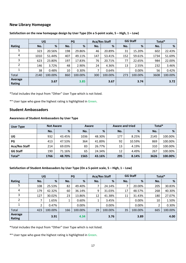#### **New Library Homepage**

|                          | UG   |         |     | PG      |     | <b>Aca/Res Staff</b> |     | <b>GG Staff</b><br>Total* |      |         |
|--------------------------|------|---------|-----|---------|-----|----------------------|-----|---------------------------|------|---------|
| Rating                   | No.  | %       | No. | %       | No. | %                    | No. | %                         | No.  | %       |
| 5                        | 323  | 20.56%  | 198 | 29.86%  | 46  | 20.89%               | 31  | 15.20%                    | 602  | 22.43%  |
| 4                        | 1010 | 51.44%  | 407 | 49.11%  | 147 | 53.41%               | 152 | 59.61%                    | 1734 | 51.69%  |
| 3                        | 623  | 23.80%  | 197 | 17.83%  | 76  | 20.71%               | 77  | 22.65%                    | 984  | 22.00%  |
| 2                        | 146  | 3.72%   | 48  | 2.90%   | 24  | 4.36%                | 13  | 2.55%                     | 232  | 3.46%   |
|                          | 38   | 0.48%   | 10  | 0.30%   |     | 0.64%                |     | 0.00%                     | 56   | 0.42%   |
| Total                    | 2140 | 100.00% | 860 | 100.00% | 300 | 100.00%              | 273 | 100.00%                   | 3608 | 100.00% |
| Average<br><b>Rating</b> |      | 3.67    |     | 3.85    |     | 3.67                 |     | 3.74                      |      | 3.72    |

#### Satisfaction on the new homepage design by User Type (On a 5-point scale,  $5 - High, 1 - Low$ )

\*Total includes the input from "Other" User Type which is not listed.

\*\* User type who gave the highest rating is highlighted in Green.

#### **Student Ambassadors**

#### **Awareness of Student Ambassadors by User Type**

| User Type            | <b>Not Aware</b> |        |      | Aware  |     | <b>Aware and tried</b> | Total* |         |
|----------------------|------------------|--------|------|--------|-----|------------------------|--------|---------|
|                      | No.              | %      | No.  | %      | No. | %                      | No.    | %       |
| UG                   | 932              | 43.45% | 1036 | 48.30% | 177 | 8.25%                  | 2145   | 100.00% |
| PG                   | 413              | 47.53% | 364  | 41.89% | 92  | 10.59%                 | 869    | 100.00% |
| <b>Aca/Res Staff</b> | 214              | 69.03% | 83   | 26.77% | 13  | 4.19%                  | 310    | 100.00% |
| <b>GG Staff</b>      | 190              | 71.16% | 65   | 24.34% | 12  | 4.49%                  | 267    | 100.00% |
| Total*               | 1766             | 48.70% | 1565 | 43.16% | 295 | 8.14%                  | 3626   | 100.00% |

#### **Satisfaction of Student Ambassadors by User Type (On a 5‐point scale, 5 – High, 1 – Low)**

|                   | <b>UG</b> |         | <b>PG</b> |         | <b>Aca/Res Staff</b> |         | <b>GG Staff</b> |         | Total*         |         |
|-------------------|-----------|---------|-----------|---------|----------------------|---------|-----------------|---------|----------------|---------|
| Rating            | No.       | %       | No.       | %       | No.                  | %       | No.             | %       | No.            | %       |
| 5                 | 108       | 25.53%  | 82        | 49.40%  | ┑                    | 24.14%  | 7               | 20.00%  | 205            | 30.83%  |
| 4                 | 179       | 42.32%  | 60        | 36.14%  | 9                    | 31.03%  | 17              | 48.57%  | 268            | 40.30%  |
| 3                 | 127       | 30.02%  | 23        | 13.86%  | 12                   | 41.38%  | 11              | 31.43%  | 180            | 27.07%  |
| $\overline{2}$    | 7         | 1.65%   |           | 0.60%   |                      | 3.45%   |                 | 0.00%   | 10             | 1.50%   |
|                   | 2         | 0.47%   |           | 0.00%   |                      | 0.00%   |                 | 0.00%   | $\overline{2}$ | 0.30%   |
| Total             | 423       | 100.00% | 166       | 100.00% | 29                   | 100.00% | 35              | 100.00% | 665            | 100.00% |
| Average<br>Rating |           | 3.91    |           | 4.34    |                      | 3.76    |                 | 3.89    |                | 4.00    |

\*Total includes the input from "Other" User Type which is not listed.

\*\* User type who gave the highest rating is highlighted in Green.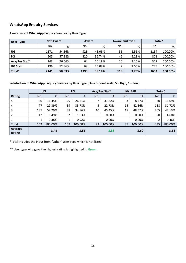# **WhatsApp Enquiry Services**

| <b>User Type</b>     | <b>Not Aware</b> |        | Aware |        | <b>Aware and tried</b> |       | Total* |         |
|----------------------|------------------|--------|-------|--------|------------------------|-------|--------|---------|
|                      | No.              | %      | No.   | %      | No.                    | %     | No.    | %       |
| UG                   | 1171             | 54.36% | 928   | 43.08% | 55                     | 2.55% | 2154   | 100.00% |
| PG                   | 505              | 57.98% | 320   | 36.74% | 46                     | 5.28% | 871    | 100.00% |
| <b>Aca/Res Staff</b> | 243              | 76.66% | 64    | 20.19% | 10                     | 3.15% | 317    | 100.00% |
| <b>GG Staff</b>      | 199              | 72.36% | 69    | 25.09% |                        | 2.55% | 275    | 100.00% |
| Total*               | 2141             | 58.63% | 1393  | 38.14% | 118                    | 3.23% | 3652   | 100.00% |

#### **Awareness of WhatsApp Enquiry Services by User Type**

#### Satisfaction of WhatsApp Enquiry Services by User Type (On a 5-point scale, 5 - High, 1 - Low)

|                   | UG  |         | <b>PG</b> |         | <b>Aca/Res Staff</b> |         | <b>GG Staff</b> |         | Total* |         |
|-------------------|-----|---------|-----------|---------|----------------------|---------|-----------------|---------|--------|---------|
| <b>Rating</b>     | No. | %       | No.       | %       | No.                  | %       | No.             | %       | No.    | %       |
| 5                 | 30  | 11.45%  | 29        | 26.61%  |                      | 31.82%  | 3               | 8.57%   | 70     | 16.09%  |
| 4                 | 77  | 29.39%  | 39        | 35.78%  | 5                    | 22.73%  | 15              | 42.86%  | 138    | 31.72%  |
| 3                 | 137 | 52.29%  | 38        | 34.86%  | 10                   | 45.45%  | 17              | 48.57%  | 205    | 47.13%  |
|                   | 17  | 6.49%   | 2         | 1.83%   |                      | 0.00%   |                 | 0.00%   | 20     | 4.60%   |
|                   |     | 0.38%   |           | 0.92%   |                      | 0.00%   |                 | 0.00%   |        | 0.46%   |
| Total             | 262 | 100.00% | 109       | 100.00% | 22                   | 100.00% | 35              | 100.00% | 435    | 100.00% |
| Average<br>Rating |     | 3.45    |           | 3.85    |                      | 3.86    |                 | 3.60    |        | 3.58    |

\*Total includes the input from "Other" User Type which is not listed.

\*\* User type who gave the highest rating is highlighted in Green.